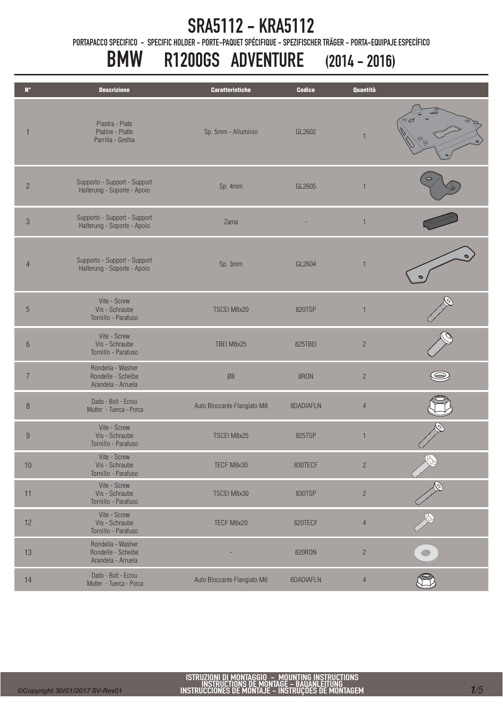### SRA5112 - KRA5112

PORTAPACCO SPECIFICO - SPECIFIC HOLDER - PORTE-PAQUET SPÉCIFIQUE - SPEZIFISCHER TRÄGER - PORTA-EQUIPAJE ESPECÍFICO

# BMW R1200GS ADVENTURE (2014 - 2016)

| $\mathbf{N}^{\bullet}$ | <b>Descrizione</b>                                            | <b>Caratteristiche</b>      | <b>Codice</b> | <b>Quantità</b> |   |
|------------------------|---------------------------------------------------------------|-----------------------------|---------------|-----------------|---|
|                        | Piastra - Plate<br>Platine - Platte<br>Parrilla - Grelha      | Sp. 5mm - Alluminio         | GL2602        | 1               |   |
| $\overline{c}$         | Supporto - Support - Support<br>Halterung - Soporte - Apoio   | Sp. 4mm                     | GL2605        | $\mathbf{1}$    |   |
| $\mathfrak{Z}$         | Supporto - Support - Support<br>Halterung - Soporte - Apoio   | Zama                        |               | $\overline{1}$  |   |
| $\overline{4}$         | Supporto - Support - Support<br>Halterung - Soporte - Apoio   | Sp. 3mm                     | GL2604        | $\overline{1}$  |   |
| $\sqrt{5}$             | Vite - Screw<br>Vis - Schraube<br>Tornillo - Parafuso         | TSCEI M8x20                 | 820TSP        | $\mathbf{1}$    |   |
| $6\,$                  | Vite - Screw<br>Vis - Schraube<br>Tornillo - Parafuso         | TBEI M8x25                  | 825TBEI       | $\sqrt{2}$      |   |
| $\overline{7}$         | Rondella - Washer<br>Rondelle - Scheibe<br>Arandela - Arruela | $\emptyset 8$               | 8RON          | $\sqrt{2}$      |   |
| $\, 8$                 | Dado - Bolt - Ecrou<br>Mutter - Tuerca - Porca                | Auto Bloccante Flangiato M8 | 8DADIAFLN     | $\overline{4}$  |   |
| $\boldsymbol{9}$       | Vite - Screw<br>Vis - Schraube<br>Tornillo - Parafuso         | <b>TSCEI M8x25</b>          | 825TSP        | $\mathbf{1}$    |   |
| $10$                   | Vite - Screw<br>Vis - Schraube<br>Tornillo - Parafuso         | TECF M8x30                  | 830TECF       | $\overline{c}$  | R |
| 11                     | Vite - Screw<br>Vis - Schraube<br>Tornillo - Parafuso         | TSCEI M8x30                 | 830TSP        | $\overline{c}$  |   |
| 12                     | Vite - Screw<br>Vis - Schraube<br>Tornillo - Parafuso         | TECF M6x20                  | 620TECF       | $\sqrt{4}$      |   |
| 13                     | Rondella - Washer<br>Rondelle - Scheibe<br>Arandela - Arruela |                             | 820RON        | $\overline{c}$  |   |
| 14                     | Dado - Bolt - Ecrou<br>Mutter - Tuerca - Porca                | Auto Bloccante Flangiato M6 | 6DADIAFLN     | $\overline{4}$  |   |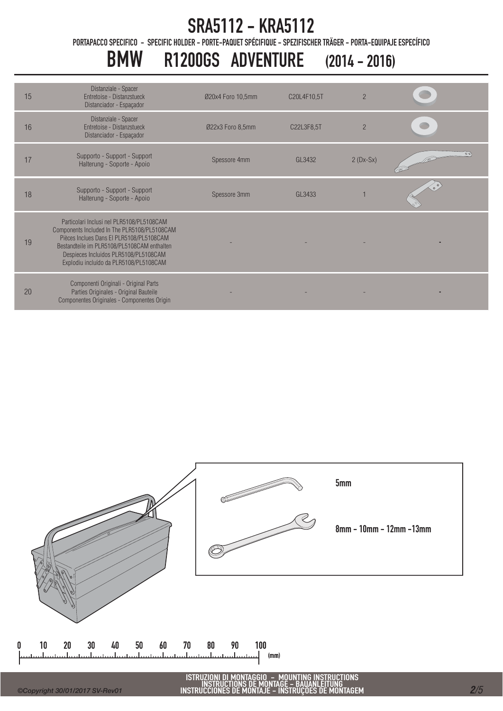# SRA5112 - KRA5112

PORTAPACCO SPECIFICO - SPECIFIC HOLDER - PORTE-PAQUET SPÉCIFIQUE - SPEZIFISCHER TRÄGER - PORTA-EQUIPAJE ESPECÍFICO

# BMW R1200GS ADVENTURE (2014 - 2016)

| 15 | Distanziale - Spacer<br>Entretoise - Distanzstueck<br>Distanciador - Espaçador                                                                                                                                                                                          | Ø20x4 Foro 10,5mm | C20L4F10,5T | $\overline{2}$ |    |
|----|-------------------------------------------------------------------------------------------------------------------------------------------------------------------------------------------------------------------------------------------------------------------------|-------------------|-------------|----------------|----|
| 16 | Distanziale - Spacer<br>Entretoise - Distanzstueck<br>Distanciador - Espaçador                                                                                                                                                                                          | Ø22x3 Foro 8,5mm  | C22L3F8,5T  | $\overline{2}$ |    |
| 17 | Supporto - Support - Support<br>Halterung - Soporte - Apoio                                                                                                                                                                                                             | Spessore 4mm      | GL3432      | $2(Dx-Sx)$     | 00 |
| 18 | Supporto - Support - Support<br>Halterung - Soporte - Apoio                                                                                                                                                                                                             | Spessore 3mm      | GL3433      |                |    |
| 19 | Particolari Inclusi nel PLR5108/PL5108CAM<br>Components Included In The PLR5108/PL5108CAM<br>Pièces Inclues Dans El PLR5108/PL5108CAM<br>Bestandteile im PLR5108/PL5108CAM enthalten<br>Despieces Incluidos PLR5108/PL5108CAM<br>Explodiu incluído da PLR5108/PL5108CAM |                   |             |                |    |
| 20 | Componenti Originali - Original Parts<br>Parties Originales - Original Bauteile<br>Componentes Originales - Componentes Origin                                                                                                                                          |                   |             |                |    |



 $\mathbf{0}$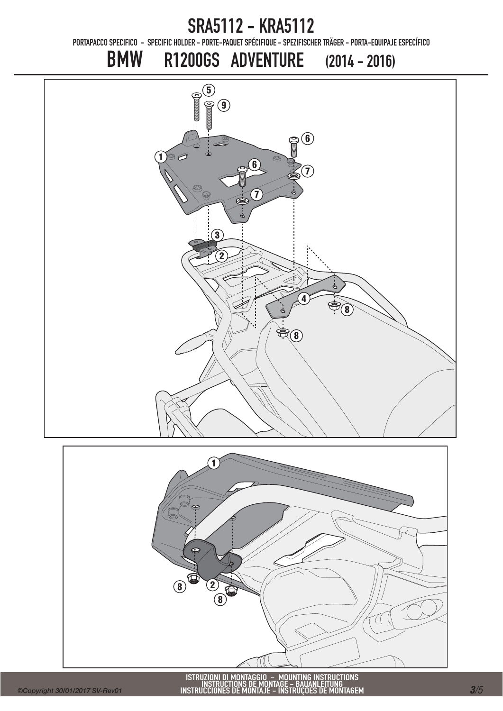SRA5112 - KRA5112 PORTAPACCO SPECIFICO - SPECIFIC HOLDER - PORTE-PAQUET SPÉCIFIQUE - SPEZIFISCHER TRÄGER - PORTA-EQUIPAJE ESPECÍFICO BMW R1200GS ADVENTURE (2014 - 2016)  $\circledcirc$ <sup>5</sup>  $\mathbf{Q}$ **96**  $\widetilde{\mathbb{1}}$ ල  $\sigma$ 6  $\left( \mathbf{\mathcal{T}}\right)$ 7  $\circledR$  $\mathbf{3}$ 2 4 8 99

![](_page_2_Picture_1.jpeg)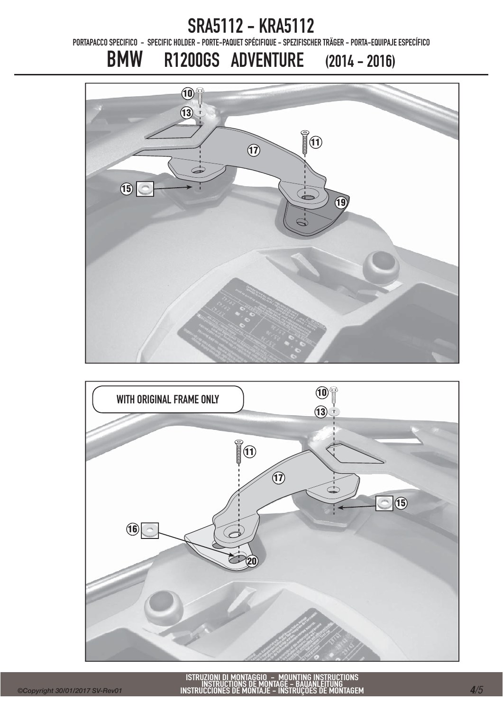### SRA5112 - KRA5112

PORTAPACCO SPECIFICO - SPECIFIC HOLDER - PORTE-PAQUET SPÉCIFIQUE - SPEZIFISCHER TRÄGER - PORTA-EQUIPAJE ESPECÍFICO

### BMW R1200GS ADVENTURE (2014 - 2016)

![](_page_3_Picture_3.jpeg)

![](_page_3_Figure_4.jpeg)